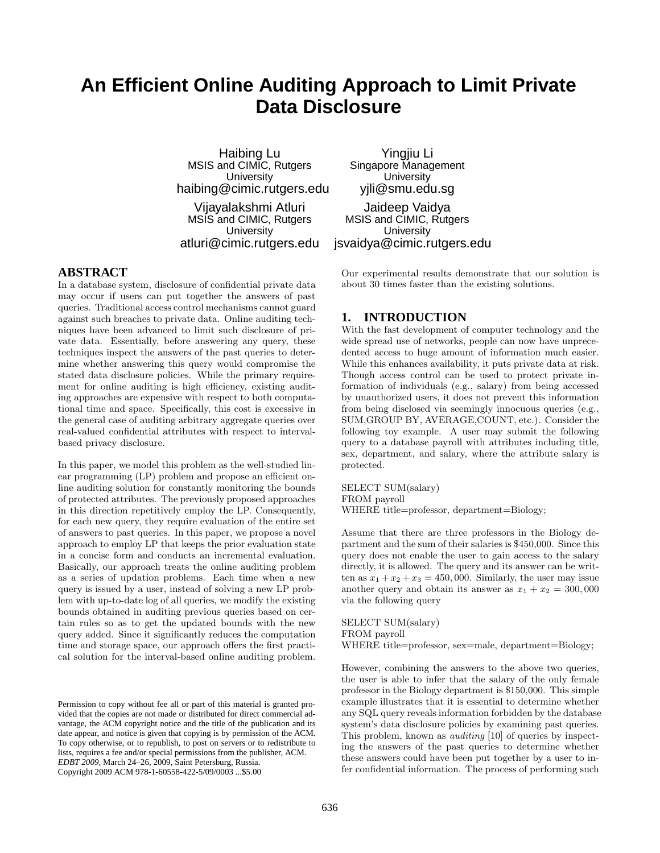# **An Efficient Online Auditing Approach to Limit Private Data Disclosure**

Haibing Lu MSIS and CIMIC, Rutgers **University** haibing@cimic.rutgers.edu

Vijayalakshmi Atluri MSIS and CIMIC, Rutgers **University** atluri@cimic.rutgers.edu

Yingjiu Li Singapore Management **University** yjli@smu.edu.sg

## **ABSTRACT**

In a database system, disclosure of confidential private data may occur if users can put together the answers of past queries. Traditional access control mechanisms cannot guard against such breaches to private data. Online auditing techniques have been advanced to limit such disclosure of private data. Essentially, before answering any query, these techniques inspect the answers of the past queries to determine whether answering this query would compromise the stated data disclosure policies. While the primary requirement for online auditing is high efficiency, existing auditing approaches are expensive with respect to both computational time and space. Specifically, this cost is excessive in the general case of auditing arbitrary aggregate queries over real-valued confidential attributes with respect to intervalbased privacy disclosure.

In this paper, we model this problem as the well-studied linear programming (LP) problem and propose an efficient online auditing solution for constantly monitoring the bounds of protected attributes. The previously proposed approaches in this direction repetitively employ the LP. Consequently, for each new query, they require evaluation of the entire set of answers to past queries. In this paper, we propose a novel approach to employ LP that keeps the prior evaluation state in a concise form and conducts an incremental evaluation. Basically, our approach treats the online auditing problem as a series of updation problems. Each time when a new query is issued by a user, instead of solving a new LP problem with up-to-date log of all queries, we modify the existing bounds obtained in auditing previous queries based on certain rules so as to get the updated bounds with the new query added. Since it significantly reduces the computation time and storage space, our approach offers the first practical solution for the interval-based online auditing problem.

Permission to copy without fee all or part of this material is granted provided that the copies are not made or distributed for direct commercial advantage, the ACM copyright notice and the title of the publication and its date appear, and notice is given that copying is by permission of the ACM. To copy otherwise, or to republish, to post on servers or to redistribute to lists, requires a fee and/or special permissions from the publisher, ACM. *EDBT 2009*, March 24–26, 2009, Saint Petersburg, Russia. Copyright 2009 ACM 978-1-60558-422-5/09/0003 ...\$5.00

Jaideep Vaidya MSIS and CIMIC, Rutgers **University** jsvaidya@cimic.rutgers.edu

Our experimental results demonstrate that our solution is about 30 times faster than the existing solutions.

## **1. INTRODUCTION**

With the fast development of computer technology and the wide spread use of networks, people can now have unprecedented access to huge amount of information much easier. While this enhances availability, it puts private data at risk. Though access control can be used to protect private information of individuals (e.g., salary) from being accessed by unauthorized users, it does not prevent this information from being disclosed via seemingly innocuous queries (e.g., SUM,GROUP BY, AVERAGE,COUNT, etc.). Consider the following toy example. A user may submit the following query to a database payroll with attributes including title, sex, department, and salary, where the attribute salary is protected.

SELECT SUM(salary) FROM payroll WHERE title=professor, department=Biology;

Assume that there are three professors in the Biology department and the sum of their salaries is \$450,000. Since this query does not enable the user to gain access to the salary directly, it is allowed. The query and its answer can be written as  $x_1 + x_2 + x_3 = 450,000$ . Similarly, the user may issue another query and obtain its answer as  $x_1 + x_2 = 300,000$ via the following query

SELECT SUM(salary) FROM payroll WHERE title=professor, sex=male, department=Biology;

However, combining the answers to the above two queries, the user is able to infer that the salary of the only female professor in the Biology department is \$150,000. This simple example illustrates that it is essential to determine whether any SQL query reveals information forbidden by the database system's data disclosure policies by examining past queries. This problem, known as *auditing* [10] of queries by inspecting the answers of the past queries to determine whether these answers could have been put together by a user to infer confidential information. The process of performing such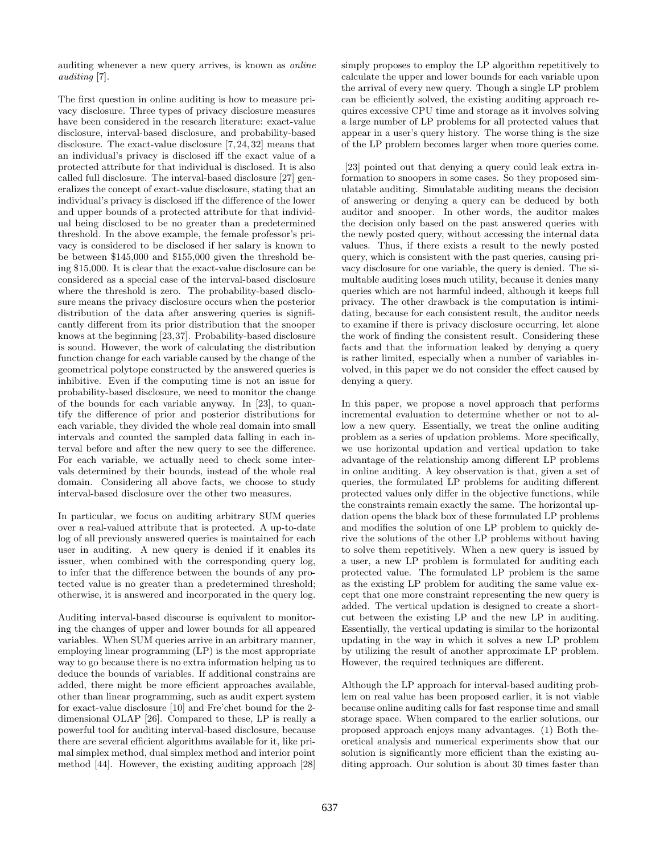auditing whenever a new query arrives, is known as *online auditing* [7].

The first question in online auditing is how to measure privacy disclosure. Three types of privacy disclosure measures have been considered in the research literature: exact-value disclosure, interval-based disclosure, and probability-based disclosure. The exact-value disclosure [7, 24, 32] means that an individual's privacy is disclosed iff the exact value of a protected attribute for that individual is disclosed. It is also called full disclosure. The interval-based disclosure [27] generalizes the concept of exact-value disclosure, stating that an individual's privacy is disclosed iff the difference of the lower and upper bounds of a protected attribute for that individual being disclosed to be no greater than a predetermined threshold. In the above example, the female professor's privacy is considered to be disclosed if her salary is known to be between \$145,000 and \$155,000 given the threshold being \$15,000. It is clear that the exact-value disclosure can be considered as a special case of the interval-based disclosure where the threshold is zero. The probability-based disclosure means the privacy disclosure occurs when the posterior distribution of the data after answering queries is significantly different from its prior distribution that the snooper knows at the beginning [23,37]. Probability-based disclosure is sound. However, the work of calculating the distribution function change for each variable caused by the change of the geometrical polytope constructed by the answered queries is inhibitive. Even if the computing time is not an issue for probability-based disclosure, we need to monitor the change of the bounds for each variable anyway. In [23], to quantify the difference of prior and posterior distributions for each variable, they divided the whole real domain into small intervals and counted the sampled data falling in each interval before and after the new query to see the difference. For each variable, we actually need to check some intervals determined by their bounds, instead of the whole real domain. Considering all above facts, we choose to study interval-based disclosure over the other two measures.

In particular, we focus on auditing arbitrary SUM queries over a real-valued attribute that is protected. A up-to-date log of all previously answered queries is maintained for each user in auditing. A new query is denied if it enables its issuer, when combined with the corresponding query log, to infer that the difference between the bounds of any protected value is no greater than a predetermined threshold; otherwise, it is answered and incorporated in the query log.

Auditing interval-based discourse is equivalent to monitoring the changes of upper and lower bounds for all appeared variables. When SUM queries arrive in an arbitrary manner, employing linear programming (LP) is the most appropriate way to go because there is no extra information helping us to deduce the bounds of variables. If additional constrains are added, there might be more efficient approaches available, other than linear programming, such as audit expert system for exact-value disclosure [10] and Fre'chet bound for the 2 dimensional OLAP [26]. Compared to these, LP is really a powerful tool for auditing interval-based disclosure, because there are several efficient algorithms available for it, like primal simplex method, dual simplex method and interior point method [44]. However, the existing auditing approach [28]

simply proposes to employ the LP algorithm repetitively to calculate the upper and lower bounds for each variable upon the arrival of every new query. Though a single LP problem can be efficiently solved, the existing auditing approach requires excessive CPU time and storage as it involves solving a large number of LP problems for all protected values that appear in a user's query history. The worse thing is the size of the LP problem becomes larger when more queries come.

[23] pointed out that denying a query could leak extra information to snoopers in some cases. So they proposed simulatable auditing. Simulatable auditing means the decision of answering or denying a query can be deduced by both auditor and snooper. In other words, the auditor makes the decision only based on the past answered queries with the newly posted query, without accessing the internal data values. Thus, if there exists a result to the newly posted query, which is consistent with the past queries, causing privacy disclosure for one variable, the query is denied. The simultable auditing loses much utility, because it denies many queries which are not harmful indeed, although it keeps full privacy. The other drawback is the computation is intimidating, because for each consistent result, the auditor needs to examine if there is privacy disclosure occurring, let alone the work of finding the consistent result. Considering these facts and that the information leaked by denying a query is rather limited, especially when a number of variables involved, in this paper we do not consider the effect caused by denying a query.

In this paper, we propose a novel approach that performs incremental evaluation to determine whether or not to allow a new query. Essentially, we treat the online auditing problem as a series of updation problems. More specifically, we use horizontal updation and vertical updation to take advantage of the relationship among different LP problems in online auditing. A key observation is that, given a set of queries, the formulated LP problems for auditing different protected values only differ in the objective functions, while the constraints remain exactly the same. The horizontal updation opens the black box of these formulated LP problems and modifies the solution of one LP problem to quickly derive the solutions of the other LP problems without having to solve them repetitively. When a new query is issued by a user, a new LP problem is formulated for auditing each protected value. The formulated LP problem is the same as the existing LP problem for auditing the same value except that one more constraint representing the new query is added. The vertical updation is designed to create a shortcut between the existing LP and the new LP in auditing. Essentially, the vertical updating is similar to the horizontal updating in the way in which it solves a new LP problem by utilizing the result of another approximate LP problem. However, the required techniques are different.

Although the LP approach for interval-based auditing problem on real value has been proposed earlier, it is not viable because online auditing calls for fast response time and small storage space. When compared to the earlier solutions, our proposed approach enjoys many advantages. (1) Both theoretical analysis and numerical experiments show that our solution is significantly more efficient than the existing auditing approach. Our solution is about 30 times faster than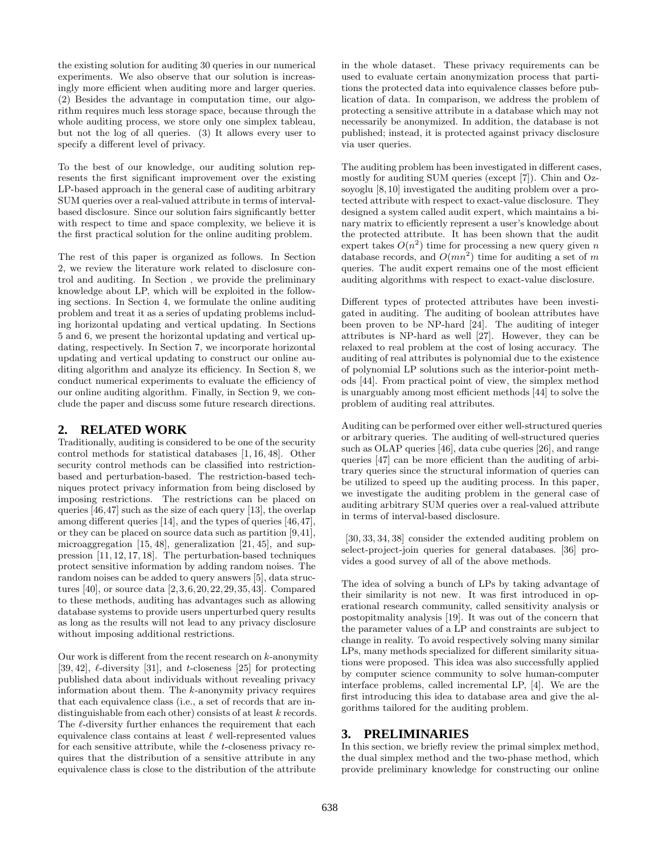the existing solution for auditing 30 queries in our numerical experiments. We also observe that our solution is increasingly more efficient when auditing more and larger queries. (2) Besides the advantage in computation time, our algorithm requires much less storage space, because through the whole auditing process, we store only one simplex tableau, but not the log of all queries. (3) It allows every user to specify a different level of privacy.

To the best of our knowledge, our auditing solution represents the first significant improvement over the existing LP-based approach in the general case of auditing arbitrary SUM queries over a real-valued attribute in terms of intervalbased disclosure. Since our solution fairs significantly better with respect to time and space complexity, we believe it is the first practical solution for the online auditing problem.

The rest of this paper is organized as follows. In Section 2, we review the literature work related to disclosure control and auditing. In Section , we provide the preliminary knowledge about LP, which will be exploited in the following sections. In Section 4, we formulate the online auditing problem and treat it as a series of updating problems including horizontal updating and vertical updating. In Sections 5 and 6, we present the horizontal updating and vertical updating, respectively. In Section 7, we incorporate horizontal updating and vertical updating to construct our online auditing algorithm and analyze its efficiency. In Section 8, we conduct numerical experiments to evaluate the efficiency of our online auditing algorithm. Finally, in Section 9, we conclude the paper and discuss some future research directions.

## **2. RELATED WORK**

Traditionally, auditing is considered to be one of the security control methods for statistical databases [1, 16, 48]. Other security control methods can be classified into restrictionbased and perturbation-based. The restriction-based techniques protect privacy information from being disclosed by imposing restrictions. The restrictions can be placed on queries [46,47] such as the size of each query [13], the overlap among different queries [14], and the types of queries [46,47], or they can be placed on source data such as partition [9,41], microaggregation [15, 48], generalization [21, 45], and suppression [11, 12, 17, 18]. The perturbation-based techniques protect sensitive information by adding random noises. The random noises can be added to query answers [5], data structures [40], or source data [2,3,6,20,22,29,35,43]. Compared to these methods, auditing has advantages such as allowing database systems to provide users unperturbed query results as long as the results will not lead to any privacy disclosure without imposing additional restrictions.

Our work is different from the recent research on  $k$ -anonymity [39, 42],  $\ell$ -diversity [31], and t-closeness [25] for protecting published data about individuals without revealing privacy information about them. The k-anonymity privacy requires that each equivalence class (i.e., a set of records that are indistinguishable from each other) consists of at least k records. The  $\ell$ -diversity further enhances the requirement that each equivalence class contains at least  $\ell$  well-represented values for each sensitive attribute, while the t-closeness privacy requires that the distribution of a sensitive attribute in any equivalence class is close to the distribution of the attribute

in the whole dataset. These privacy requirements can be used to evaluate certain anonymization process that partitions the protected data into equivalence classes before publication of data. In comparison, we address the problem of protecting a sensitive attribute in a database which may not necessarily be anonymized. In addition, the database is not published; instead, it is protected against privacy disclosure via user queries.

The auditing problem has been investigated in different cases, mostly for auditing SUM queries (except [7]). Chin and Ozsoyoglu [8, 10] investigated the auditing problem over a protected attribute with respect to exact-value disclosure. They designed a system called audit expert, which maintains a binary matrix to efficiently represent a user's knowledge about the protected attribute. It has been shown that the audit expert takes  $O(n^2)$  time for processing a new query given n database records, and  $O(mn^2)$  time for auditing a set of m queries. The audit expert remains one of the most efficient auditing algorithms with respect to exact-value disclosure.

Different types of protected attributes have been investigated in auditing. The auditing of boolean attributes have been proven to be NP-hard [24]. The auditing of integer attributes is NP-hard as well [27]. However, they can be relaxed to real problem at the cost of losing accuracy. The auditing of real attributes is polynomial due to the existence of polynomial LP solutions such as the interior-point methods [44]. From practical point of view, the simplex method is unarguably among most efficient methods [44] to solve the problem of auditing real attributes.

Auditing can be performed over either well-structured queries or arbitrary queries. The auditing of well-structured queries such as OLAP queries [46], data cube queries [26], and range queries [47] can be more efficient than the auditing of arbitrary queries since the structural information of queries can be utilized to speed up the auditing process. In this paper, we investigate the auditing problem in the general case of auditing arbitrary SUM queries over a real-valued attribute in terms of interval-based disclosure.

[30, 33, 34, 38] consider the extended auditing problem on select-project-join queries for general databases. [36] provides a good survey of all of the above methods.

The idea of solving a bunch of LPs by taking advantage of their similarity is not new. It was first introduced in operational research community, called sensitivity analysis or postopitmality analysis [19]. It was out of the concern that the parameter values of a LP and constraints are subject to change in reality. To avoid respectively solving many similar LPs, many methods specialized for different similarity situations were proposed. This idea was also successfully applied by computer science community to solve human-computer interface problems, called incremental LP, [4]. We are the first introducing this idea to database area and give the algorithms tailored for the auditing problem.

### **3. PRELIMINARIES**

In this section, we briefly review the primal simplex method, the dual simplex method and the two-phase method, which provide preliminary knowledge for constructing our online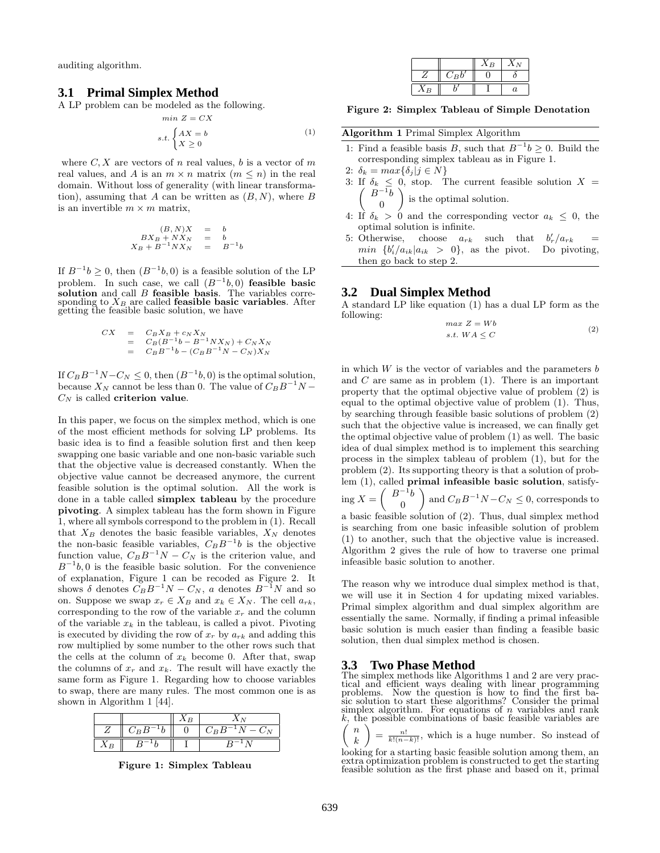auditing algorithm.

#### **3.1 Primal Simplex Method**

A LP problem can be modeled as the following.

$$
s.t. \begin{cases} AX = b \\ X \ge 0 \end{cases}
$$
 (1)

where  $C, X$  are vectors of n real values, b is a vector of m real values, and A is an  $m \times n$  matrix  $(m \leq n)$  in the real domain. Without loss of generality (with linear transformation), assuming that A can be written as  $(B, N)$ , where B is an invertible  $m \times m$  matrix,

min  $Z - CY$ 

$$
(B,N)X = b
$$
  
\n
$$
BX_B + NX_N = b
$$
  
\n
$$
X_B + B^{-1}NX_N = B^{-1}b
$$

If  $B^{-1}b \geq 0$ , then  $(B^{-1}b, 0)$  is a feasible solution of the LP problem. In such case, we call  $(B^{-1}b, 0)$  feasible basic solution and call  $B$  feasible basis. The variables corresponding to  $X_B$  are called **feasible basic variables**. After getting the feasible basic solution, we have

$$
CX = C_B X_B + c_N X_N
$$
  
=  $C_B (B^{-1}b - B^{-1}NX_N) + C_N X_N$   
=  $C_B B^{-1}b - (C_B B^{-1}N - C_N)X_N$ 

If  $C_B B^{-1} N - C_N \leq 0$ , then  $(B^{-1}b, 0)$  is the optimal solution, because  $X_N$  cannot be less than 0. The value of  $C_B B^{-1}N C_N$  is called criterion value.

In this paper, we focus on the simplex method, which is one of the most efficient methods for solving LP problems. Its basic idea is to find a feasible solution first and then keep swapping one basic variable and one non-basic variable such that the objective value is decreased constantly. When the objective value cannot be decreased anymore, the current feasible solution is the optimal solution. All the work is done in a table called simplex tableau by the procedure pivoting. A simplex tableau has the form shown in Figure 1, where all symbols correspond to the problem in (1). Recall that  $X_B$  denotes the basic feasible variables,  $X_N$  denotes the non-basic feasible variables,  $C_B B^{-1} b$  is the objective function value,  $C_B B^{-1} N - C_N$  is the criterion value, and  $B^{-1}b, 0$  is the feasible basic solution. For the convenience of explanation, Figure 1 can be recoded as Figure 2. It shows  $\delta$  denotes  $C_B B^{-1} N - C_N$ , a denotes  $B^{-1} N$  and so on. Suppose we swap  $x_r \in X_B$  and  $x_k \in X_N$ . The cell  $a_{rk}$ , corresponding to the row of the variable  $x_r$  and the column of the variable  $x_k$  in the tableau, is called a pivot. Pivoting is executed by dividing the row of  $x_r$  by  $a_{rk}$  and adding this row multiplied by some number to the other rows such that the cells at the column of  $x_k$  become 0. After that, swap the columns of  $x_r$  and  $x_k$ . The result will have exactly the same form as Figure 1. Regarding how to choose variables to swap, there are many rules. The most common one is as shown in Algorithm 1 [44].

|         | ΛR | ΛΝ                                           |
|---------|----|----------------------------------------------|
| $C_B B$ |    | $C_B B^-$<br>$N-C_N$<br>$\sim$ $\sim$ $\sim$ |
|         |    |                                              |

Figure 1: Simplex Tableau

|    |                                    | ÅВ |          |
|----|------------------------------------|----|----------|
|    | $\cup$ <sub>B</sub> $\overline{b}$ |    |          |
| ΔB |                                    |    | $\alpha$ |

Figure 2: Simplex Tableau of Simple Denotation

#### Algorithm 1 Primal Simplex Algorithm

- 1: Find a feasible basis B, such that  $B^{-1}b \geq 0$ . Build the corresponding simplex tableau as in Figure 1.
- 2:  $\delta_k = max\{\delta_j | j \in N\}$
- 3: If  $\sqrt{2}$  $\delta_k \leq 0$ , stop. The current feasible solution  $X =$  $B^{-1}\overline{b}$ ) 0 is the optimal solution.
- 4: If  $\delta_k > 0$  and the corresponding vector  $a_k \leq 0$ , the optimal solution is infinite.
- 5: Otherwise, choose  $a_{rk}$  such that  $b'_r/a_{rk}$  = min  $\{b'_i/a_{ik}|a_{ik} > 0\}$ , as the pivot. Do pivoting, then go back to step 2.

#### **3.2 Dual Simplex Method**

A standard LP like equation (1) has a dual LP form as the following:

$$
\max Z = Wb
$$
  
s.t.  $WA \le C$  (2)

in which  $W$  is the vector of variables and the parameters  $b$ and  $C$  are same as in problem  $(1)$ . There is an important property that the optimal objective value of problem (2) is equal to the optimal objective value of problem (1). Thus, by searching through feasible basic solutions of problem (2) such that the objective value is increased, we can finally get the optimal objective value of problem (1) as well. The basic idea of dual simplex method is to implement this searching process in the simplex tableau of problem (1), but for the problem (2). Its supporting theory is that a solution of problem (1), called primal infeasible basic solution, satisfy- $(B^{-1}b)$ 

ing 
$$
X = \begin{pmatrix} B^{-1}b \\ 0 \end{pmatrix}
$$
 and  $C_B B^{-1}N - C_N \le 0$ , corresponds to  
a basic feasible solution of (2). Thus, dual simplex method

is searching from one basic infeasible solution of problem (1) to another, such that the objective value is increased. Algorithm 2 gives the rule of how to traverse one primal infeasible basic solution to another.

The reason why we introduce dual simplex method is that, we will use it in Section 4 for updating mixed variables. Primal simplex algorithm and dual simplex algorithm are essentially the same. Normally, if finding a primal infeasible basic solution is much easier than finding a feasible basic solution, then dual simplex method is chosen.

## **3.3 Two Phase Method**

The simplex methods like Algorithms 1 and 2 are very practical and efficient ways dealing with linear programming problems. Now the question is how to find the first ba-sic solution to start these algorithms? Consider the primal simplex algorithm. For equations of  $n$  variables and rank  $k$ , the possible combinations of basic feasible variables are  $\sqrt{2}$  $\boldsymbol{n}$  $\setminus$ 

 $k$  $=\frac{n!}{k!(n-k)!}$ , which is a huge number. So instead of

looking for a starting basic feasible solution among them, an extra optimization problem is constructed to get the starting feasible solution as the first phase and based on it, primal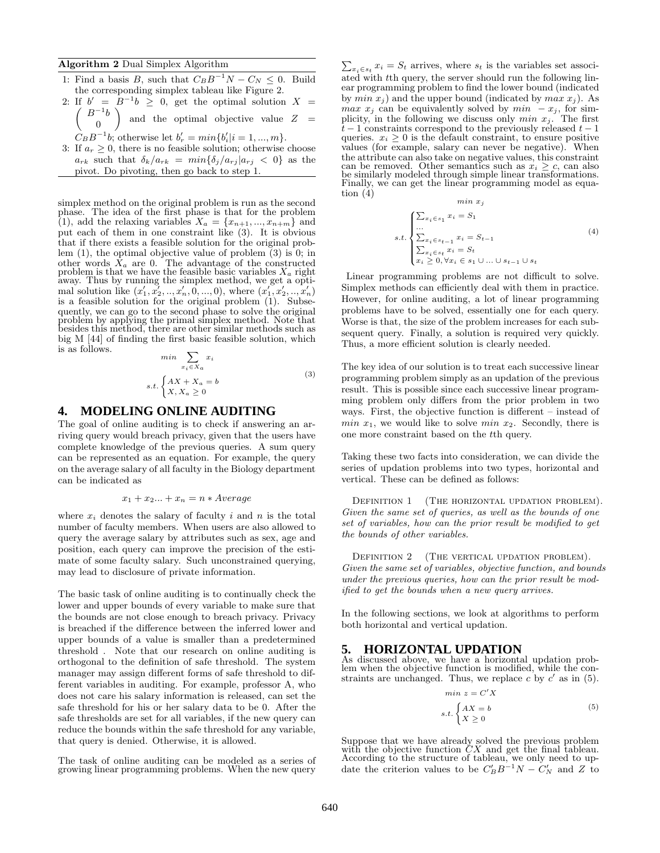#### Algorithm 2 Dual Simplex Algorithm

- 1: Find a basis B, such that  $C_B B^{-1} N C_N \leq 0$ . Build the corresponding simplex tableau like Figure 2.
- 2: If  $b' = B^{-1}b \ge 0$ , get the optimal solution  $X =$  $\sqrt{2}$  $B^{-1}b$  $\boldsymbol{0}$ ) and the optimal objective value  $Z =$ 
	- $C_B B^{-1} b$ ; otherwise let  $b'_r = min\{b'_i | i = 1, ..., m\}$ .
- 3: If  $a_r \geq 0$ , there is no feasible solution; otherwise choose  $a_{rk}$  such that  $\delta_k/a_{rk} = min\{\delta_j/a_{rj}|a_{rj} < 0\}$  as the pivot. Do pivoting, then go back to step 1.

simplex method on the original problem is run as the second phase. The idea of the first phase is that for the problem (1), add the relaxing variables  $X_a = \{x_{n+1},...,x_{n+m}\}\$  and put each of them in one constraint like (3). It is obvious that if there exists a feasible solution for the original problem (1), the optimal objective value of problem (3) is 0; in other words  $X_a$  are 0. The advantage of the constructed problem is that we have the feasible basic variables  $X_a$  right away. Thus by running the simplex method, we get a optimal solution like  $(x'_1, x'_2, ..., x'_n, 0, ..., 0)$ , where  $(x'_1, x'_2, ..., x'_n)$ is a feasible solution for the original problem (1). Subsequently, we can go to the second phase to solve the original problem by applying the primal simplex method. Note that besides this method, there are other similar methods such as big M [44] of finding the first basic feasible solution, which is as follows.

$$
\min \sum_{x_i \in X_a} x_i
$$
  
s.t. 
$$
\begin{cases} AX + X_a = b \\ X, X_a \ge 0 \end{cases}
$$
 (3)

### **4. MODELING ONLINE AUDITING**

The goal of online auditing is to check if answering an arriving query would breach privacy, given that the users have complete knowledge of the previous queries. A sum query can be represented as an equation. For example, the query on the average salary of all faculty in the Biology department can be indicated as

$$
x_1 + x_2 ... + x_n = n * Average
$$

where  $x_i$  denotes the salary of faculty i and n is the total number of faculty members. When users are also allowed to query the average salary by attributes such as sex, age and position, each query can improve the precision of the estimate of some faculty salary. Such unconstrained querying, may lead to disclosure of private information.

The basic task of online auditing is to continually check the lower and upper bounds of every variable to make sure that the bounds are not close enough to breach privacy. Privacy is breached if the difference between the inferred lower and upper bounds of a value is smaller than a predetermined threshold . Note that our research on online auditing is orthogonal to the definition of safe threshold. The system manager may assign different forms of safe threshold to different variables in auditing. For example, professor A, who does not care his salary information is released, can set the safe threshold for his or her salary data to be 0. After the safe thresholds are set for all variables, if the new query can reduce the bounds within the safe threshold for any variable, that query is denied. Otherwise, it is allowed.

The task of online auditing can be modeled as a series of growing linear programming problems. When the new query

 $\sum_{x_i \in s_t} x_i = S_t$  arrives, where  $s_t$  is the variables set associated with tth query, the server should run the following linear programming problem to find the lower bound (indicated by  $min x_j$  and the upper bound (indicated by  $max x_j$ ). As *max*  $x_j$  can be equivalently solved by  $min - x_j$ , for simplicity, in the following we discuss only  $min x_j$ . The first  $t-1$  constraints correspond to the previously released  $t-1$  queries.  $x_i \geq 0$  is the default constraint, to ensure positive values (for example, salary can never be negative). When the attribute can also take on negative values, this constraint can be removed. Other semantics such as  $x_i \geq c$ , can also be similarly modeled through simple linear transformations. Finally, we can get the linear programming model as equation  $(4)$ min x<sup>j</sup>

$$
min x_j
$$
  

$$
s.t. \begin{cases} \sum_{x_i \in s_1} x_i = S_1 \\ \sum_{x_i \in s_{t-1}} x_i = S_{t-1} \\ \sum_{x_i \in s_t} x_i = S_t \\ x_i \ge 0, \forall x_i \in s_1 \cup ... \cup s_{t-1} \cup s_t \end{cases} (4)
$$

Linear programming problems are not difficult to solve. Simplex methods can efficiently deal with them in practice. However, for online auditing, a lot of linear programming problems have to be solved, essentially one for each query. Worse is that, the size of the problem increases for each subsequent query. Finally, a solution is required very quickly. Thus, a more efficient solution is clearly needed.

The key idea of our solution is to treat each successive linear programming problem simply as an updation of the previous result. This is possible since each successive linear programming problem only differs from the prior problem in two ways. First, the objective function is different – instead of *min*  $x_1$ , we would like to solve *min*  $x_2$ . Secondly, there is one more constraint based on the tth query.

Taking these two facts into consideration, we can divide the series of updation problems into two types, horizontal and vertical. These can be defined as follows:

DEFINITION 1 (THE HORIZONTAL UPDATION PROBLEM). *Given the same set of queries, as well as the bounds of one set of variables, how can the prior result be modified to get the bounds of other variables.*

DEFINITION 2 (THE VERTICAL UPDATION PROBLEM). *Given the same set of variables, objective function, and bounds under the previous queries, how can the prior result be modified to get the bounds when a new query arrives.*

In the following sections, we look at algorithms to perform both horizontal and vertical updation.

#### **5. HORIZONTAL UPDATION**

As discussed above, we have a horizontal updation problem when the objective function is modified, while the constraints are unchanged. Thus, we replace  $c$  by  $c'$  as in (5).

$$
\min z = C'X
$$
  
s.t. 
$$
\begin{cases} AX = b \\ X \ge 0 \end{cases}
$$
 (5)

Suppose that we have already solved the previous problem with the objective function CX and get the final tableau. According to the structure of tableau, we only need to update the criterion values to be  $C'_B B^{-1} N - C'_N$  and Z to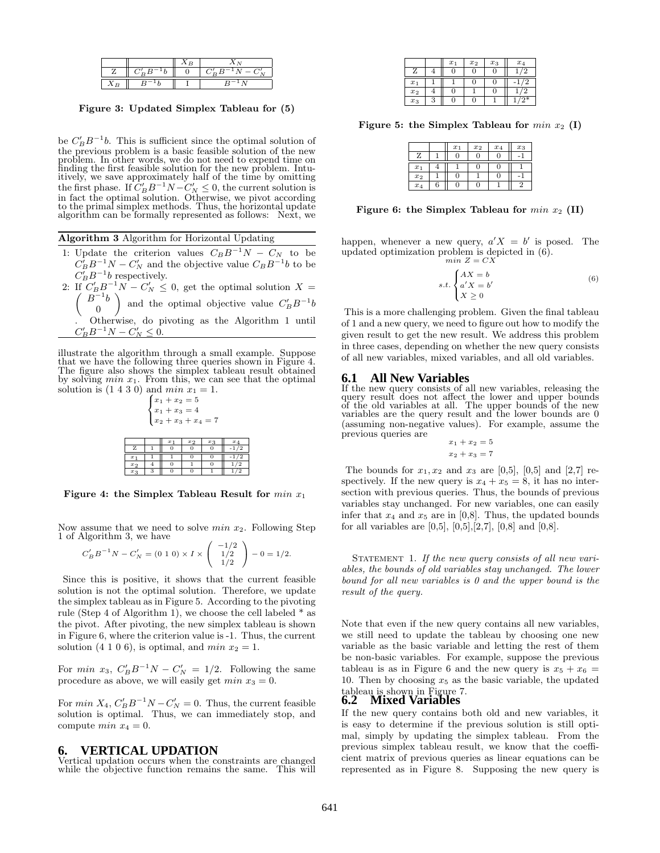Figure 3: Updated Simplex Tableau for (5)

be  $C'_B B^{-1} b$ . This is sufficient since the optimal solution of the previous problem is a basic feasible solution of the new problem. In other words, we do not need to expend time on finding the first feasible solution for the new problem. Intuitively, we save approximately half of the time by omitting the first phase. If  $C'_B B^{-1}N - C'_N \leq 0$ , the current solution is in fact the optimal solution. Otherwise, we pivot according to the primal simplex methods. Thus, the horizontal update algorithm can be formally represented as follows: Next, we

| Algorithm 3 Algorithm for Horizontal Updating |  |  |  |  |  |
|-----------------------------------------------|--|--|--|--|--|
|-----------------------------------------------|--|--|--|--|--|

- 1: Update the criterion values  $C_B B^{-1} N C_N$  to be  $C_B B^{-1} N - C_N'$  and the objective value  $C_B B^{-1} b$  to be  $C_B B^{-1} b$  respectively.
- 2: If  $C'_B B^{-1} N C'_I$ If  $C'_B B^{-1} N - C'_N \leq 0$ , get the optimal solution  $X =$ <br> $\begin{pmatrix} B^{-1}b \end{pmatrix}$  and the optimal solution value  $C' P^{-1} b$  $\boldsymbol{0}$ and the optimal objective value  $C'_B B^{-1} b$ . Otherwise, do pivoting as the Algorithm 1 until  $C'_B B^{-1} N - C'_N \leq 0.$

illustrate the algorithm through a small example. Suppose that we have the following three queries shown in Figure 4. The figure also shows the simplex tableau result obtained<br>by solving  $min x_1$ . From this, we can see that the optimal solution is  $(1\ 4\ 3\ 0)$  and  $min x_1 = 1$ .<br> $\begin{cases} x_1 + x_2 = 5 \end{cases}$ 

>< >: x1 + x2 = 5 x1 + x3 = 4 x2 + x3 + x4 = 7 x1 x2 x3 x4 Z 1 0 0 0 -1/2 x1 1 1 0 0 -1/2 x2 4 0 1 0 1/2 x3 3 0 0 1 1/2

Figure 4: the Simplex Tableau Result for  $min x_1$ 

Now assume that we need to solve  $min x_2$ . Following Step 1 of Algorithm 3, we have

$$
C'_B B^{-1} N - C'_N = (0 \ 1 \ 0) \times I \times \begin{pmatrix} -1/2 \\ 1/2 \\ 1/2 \end{pmatrix} - 0 = 1/2.
$$

Since this is positive, it shows that the current feasible solution is not the optimal solution. Therefore, we update the simplex tableau as in Figure 5. According to the pivoting rule (Step 4 of Algorithm 1), we choose the cell labeled \* as the pivot. After pivoting, the new simplex tableau is shown in Figure 6, where the criterion value is -1. Thus, the current solution (4 1 0 6), is optimal, and *min*  $x_2 = 1$ .

For *min*  $x_3$ ,  $C'_B B^{-1} N - C'_N = 1/2$ . Following the same procedure as above, we will easily get  $min x_3 = 0$ .

For  $min X_4$ ,  $C'_B B^{-1} N - C'_N = 0$ . Thus, the current feasible solution is optimal. Thus, we can immediately stop, and compute  $min x_4 = 0$ .

### **6. VERTICAL UPDATION**

Vertical updation occurs when the constraints are changed while the objective function remains the same. This will

|       |   | $x_1$ | $x_2$ | $x_3$ | $x_4$ |
|-------|---|-------|-------|-------|-------|
|       |   |       | 0     |       |       |
| $x_1$ |   |       |       |       | 2     |
| $x_2$ |   | 0     |       | t.    |       |
| $x_3$ | 3 |       | 0     |       |       |

Figure 5: the Simplex Tableau for  $min x_2$  (I)

|       |   | $x_1$ | $x_2$ | $x_4$ | $x_3$ |
|-------|---|-------|-------|-------|-------|
| Ζ     |   |       |       |       |       |
| $x_1$ |   |       |       |       |       |
| $x_2$ |   |       |       |       |       |
| $x_4$ | 6 |       |       |       |       |

Figure 6: the Simplex Tableau for  $min x_2$  (II)

happen, whenever a new query,  $a'X = b'$  is posed. The updated optimization problem is depicted in (6).  $min\ Z = CX$ 

s.t.

$$
t.\begin{cases} AX = b \\ a'X = b' \\ X \ge 0 \end{cases} \tag{6}
$$

This is a more challenging problem. Given the final tableau of 1 and a new query, we need to figure out how to modify the given result to get the new result. We address this problem in three cases, depending on whether the new query consists of all new variables, mixed variables, and all old variables.

#### **6.1 All New Variables**

If the new query consists of all new variables, releasing the query result does not affect the lower and upper bounds of the old variables at all. The upper bounds of the new variables are the query result and the lower bounds are  $0$ (assuming non-negative values). For example, assume the previous queries are

$$
x_1 + x_2 = 5
$$

$$
x_2 + x_3 = 7
$$

The bounds for  $x_1, x_2$  and  $x_3$  are [0,5], [0,5] and [2,7] respectively. If the new query is  $x_4 + x_5 = 8$ , it has no intersection with previous queries. Thus, the bounds of previous variables stay unchanged. For new variables, one can easily infer that  $x_4$  and  $x_5$  are in [0,8]. Thus, the updated bounds for all variables are  $[0,5]$ ,  $[0,5]$ ,  $[2,7]$ ,  $[0,8]$  and  $[0,8]$ .

STATEMENT 1. If the new query consists of all new vari*ables, the bounds of old variables stay unchanged. The lower bound for all new variables is 0 and the upper bound is the result of the query.*

Note that even if the new query contains all new variables, we still need to update the tableau by choosing one new variable as the basic variable and letting the rest of them be non-basic variables. For example, suppose the previous tableau is as in Figure 6 and the new query is  $x_5 + x_6 =$ 10. Then by choosing  $x_5$  as the basic variable, the updated

# tableau is shown in Figure 7. **6.2 Mixed Variables**

If the new query contains both old and new variables, it is easy to determine if the previous solution is still optimal, simply by updating the simplex tableau. From the previous simplex tableau result, we know that the coefficient matrix of previous queries as linear equations can be represented as in Figure 8. Supposing the new query is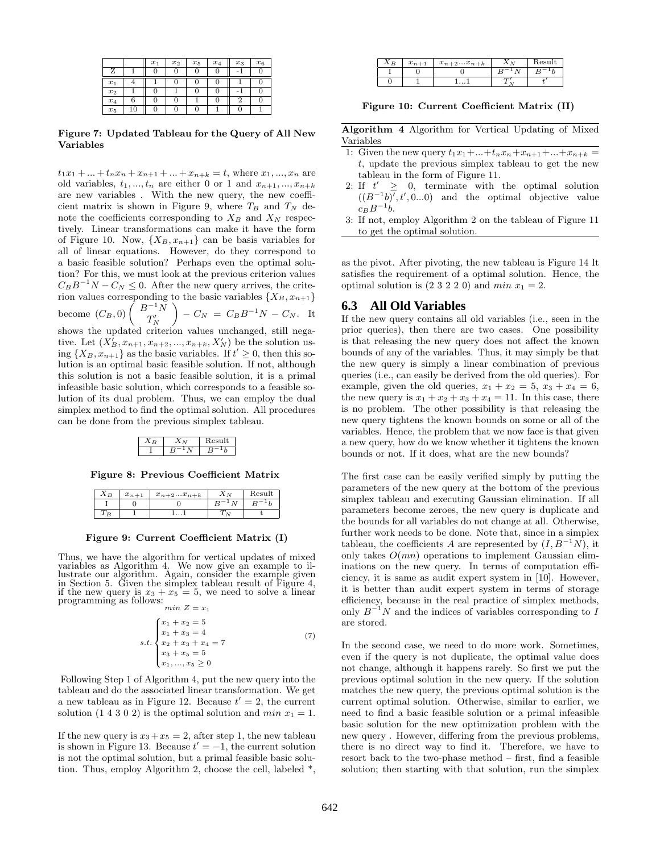|       |    | $x_1$ | $x_2$ | $x_5$ | $x_4$ | $x_3$ | $x_6$ |
|-------|----|-------|-------|-------|-------|-------|-------|
|       |    |       |       |       |       |       |       |
| $x_1$ |    |       |       |       |       |       |       |
| $x_2$ |    |       |       |       |       |       |       |
| $x_4$ | 6  |       |       |       |       | റ     |       |
| $x_5$ | 10 |       |       |       |       |       |       |

Figure 7: Updated Tableau for the Query of All New Variables

 $t_1x_1 + ... + t_nx_n + x_{n+1} + ... + x_{n+k} = t$ , where  $x_1, ..., x_n$  are old variables,  $t_1, ..., t_n$  are either 0 or 1 and  $x_{n+1}, ..., x_{n+k}$ are new variables . With the new query, the new coefficient matrix is shown in Figure 9, where  $T_B$  and  $T_N$  denote the coefficients corresponding to  $X_B$  and  $X_N$  respectively. Linear transformations can make it have the form of Figure 10. Now,  $\{X_B, x_{n+1}\}\$ can be basis variables for all of linear equations. However, do they correspond to a basic feasible solution? Perhaps even the optimal solution? For this, we must look at the previous criterion values  $C_B B^{-1} N - C_N \leq 0$ . After the new query arrives, the criterion values corresponding to the basic variables  $\{X_B, x_{n+1}\}$ become  $(C_B, 0)$   $\left( \begin{array}{c} B^{-1}N \\ T' \end{array} \right)$  $T_N'$  $\Big) - C_N = C_B B^{-1} N - C_N.$  It shows the updated criterion values unchanged, still nega-<br> $V'$  by the relative and  $V'$ tive. Let  $(X_B^j, x_{n+1}, x_{n+2}, ..., x_{n+k}, X_N^{\prime})$  be the solution using  $\{X_B, x_{n+1}\}\$  as the basic variables. If  $t' \geq 0$ , then this solution is an optimal basic feasible solution. If not, although this solution is not a basic feasible solution, it is a primal

infeasible basic solution, which corresponds to a feasible solution of its dual problem. Thus, we can employ the dual simplex method to find the optimal solution. All procedures can be done from the previous simplex tableau.

Figure 8: Previous Coefficient Matrix

| ΛP | $x_{n+1}$ | $x_{n+2}x_{n+k}$ | Result |
|----|-----------|------------------|--------|
|    |           |                  |        |
|    |           |                  |        |

Figure 9: Current Coefficient Matrix (I)

Thus, we have the algorithm for vertical updates of mixed variables as Algorithm 4. We now give an example to il-lustrate our algorithm. Again, consider the example given in Section 5. Given the simplex tableau result of Figure 4, if the new query is  $x_3 + x_5 = 5$ , we need to solve a linear programming as follows:  $min Z = x_1$ 

$$
s.t. \begin{cases} x_1 + x_2 = 5 \\ x_1 + x_3 = 4 \\ x_2 + x_3 + x_4 = 7 \\ x_3 + x_5 = 5 \\ x_1, ..., x_5 \ge 0 \end{cases} (7)
$$

Following Step 1 of Algorithm 4, put the new query into the tableau and do the associated linear transformation. We get a new tableau as in Figure 12. Because  $t' = 2$ , the current solution (1 4 3 0 2) is the optimal solution and  $min x_1 = 1$ .

If the new query is  $x_3+x_5=2$ , after step 1, the new tableau is shown in Figure 13. Because  $t' = -1$ , the current solution is not the optimal solution, but a primal feasible basic solution. Thus, employ Algorithm 2, choose the cell, labeled \*,

| . P | $x_{n+1}$ | $x_{n+2}x_{n+k}$ | Result |
|-----|-----------|------------------|--------|
|     |           |                  |        |
|     |           |                  |        |

Figure 10: Current Coefficient Matrix (II)

Algorithm 4 Algorithm for Vertical Updating of Mixed Variables

- 1: Given the new query  $t_1x_1 + ... + t_nx_n + x_{n+1} + ... + x_{n+k} =$ t, update the previous simplex tableau to get the new tableau in the form of Figure 11.
- 2: If  $t' \geq 0$ , terminate with the optimal solution  $((B^{-1}b)^{\overline{f}}, t', 0...0)$  and the optimal objective value  $c_B B^{-1} b.$
- 3: If not, employ Algorithm 2 on the tableau of Figure 11 to get the optimal solution.

as the pivot. After pivoting, the new tableau is Figure 14 It satisfies the requirement of a optimal solution. Hence, the optimal solution is  $(2\ 3\ 2\ 2\ 0)$  and  $min x_1 = 2$ .

#### **6.3 All Old Variables**

If the new query contains all old variables (i.e., seen in the prior queries), then there are two cases. One possibility is that releasing the new query does not affect the known bounds of any of the variables. Thus, it may simply be that the new query is simply a linear combination of previous queries (i.e., can easily be derived from the old queries). For example, given the old queries,  $x_1 + x_2 = 5$ ,  $x_3 + x_4 = 6$ , the new query is  $x_1 + x_2 + x_3 + x_4 = 11$ . In this case, there is no problem. The other possibility is that releasing the new query tightens the known bounds on some or all of the variables. Hence, the problem that we now face is that given a new query, how do we know whether it tightens the known bounds or not. If it does, what are the new bounds?

The first case can be easily verified simply by putting the parameters of the new query at the bottom of the previous simplex tableau and executing Gaussian elimination. If all parameters become zeroes, the new query is duplicate and the bounds for all variables do not change at all. Otherwise, further work needs to be done. Note that, since in a simplex tableau, the coefficients A are represented by  $(I, B^{-1}N)$ , it only takes  $O(mn)$  operations to implement Gaussian eliminations on the new query. In terms of computation efficiency, it is same as audit expert system in [10]. However, it is better than audit expert system in terms of storage efficiency, because in the real practice of simplex methods, only  $B^{-1}N$  and the indices of variables corresponding to  $I$ are stored.

In the second case, we need to do more work. Sometimes, even if the query is not duplicate, the optimal value does not change, although it happens rarely. So first we put the previous optimal solution in the new query. If the solution matches the new query, the previous optimal solution is the current optimal solution. Otherwise, similar to earlier, we need to find a basic feasible solution or a primal infeasible basic solution for the new optimization problem with the new query . However, differing from the previous problems, there is no direct way to find it. Therefore, we have to resort back to the two-phase method – first, find a feasible solution; then starting with that solution, run the simplex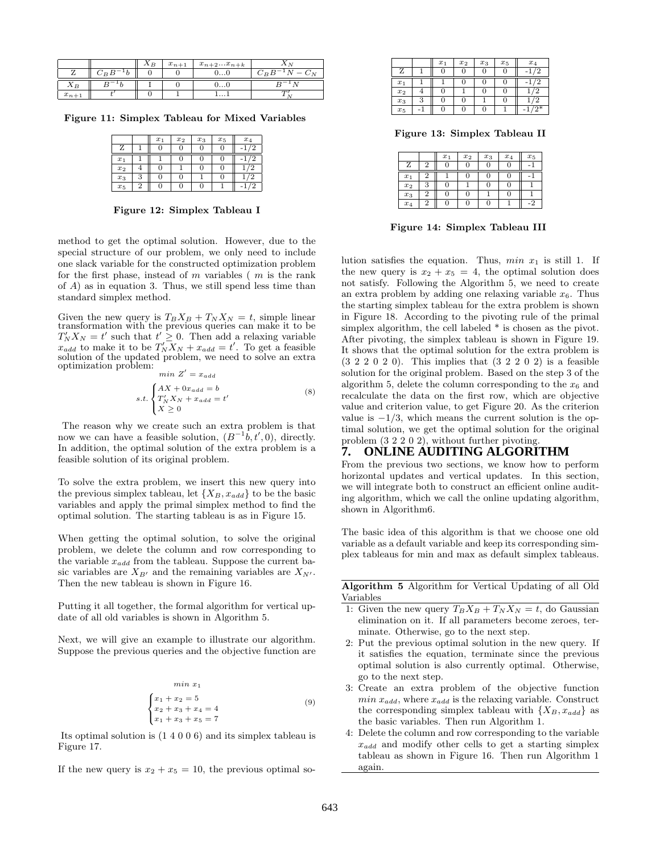|           |         | $\Lambda_B$ | $x_{n+1}$ | $x_{n+2}x_{n+k}$ |         |
|-----------|---------|-------------|-----------|------------------|---------|
|           | $C_B B$ |             |           | v. v             | $C_B B$ |
| $A_B$     |         |             |           | v. v             |         |
| $x_{n+1}$ |         |             |           | .                |         |

Figure 11: Simplex Tableau for Mixed Variables

|       |   | $x_1$ | $x_2$ | $x_3$ | $x_5$ | $x_4$ |
|-------|---|-------|-------|-------|-------|-------|
|       |   |       |       |       |       |       |
| $x_1$ |   |       |       |       |       |       |
| $x_2$ |   |       |       | U     |       |       |
| $x_3$ | 3 |       |       |       |       |       |
| $x_5$ |   |       |       |       |       |       |

Figure 12: Simplex Tableau I

method to get the optimal solution. However, due to the special structure of our problem, we only need to include one slack variable for the constructed optimization problem for the first phase, instead of  $m$  variables  $(m \text{ is the rank})$ of A) as in equation 3. Thus, we still spend less time than standard simplex method.

Given the new query is  $T_B X_B + T_N X_N = t$ , simple linear transformation with the previous queries can make it to be  $T'_N X_N = t'$  such that  $t' \geq 0$ . Then add a relaxing variable  $x_{add}$  to make it to be  $T'_N \overline{X_N} + x_{add} = t'$ . To get a feasible solution of the updated problem, we need to solve an extra optimization problem:  $min Z' = x_{add}$ 

$$
s.t. \begin{cases} AX + 0x_{add} = b \\ T'_N X_N + x_{add} = t' \\ X \ge 0 \end{cases}
$$
 (8)

The reason why we create such an extra problem is that now we can have a feasible solution,  $(B^{-1}b, t', 0)$ , directly. In addition, the optimal solution of the extra problem is a feasible solution of its original problem.

To solve the extra problem, we insert this new query into the previous simplex tableau, let  $\{X_B, x_{add}\}\)$  to be the basic variables and apply the primal simplex method to find the optimal solution. The starting tableau is as in Figure 15.

When getting the optimal solution, to solve the original problem, we delete the column and row corresponding to the variable  $x_{add}$  from the tableau. Suppose the current basic variables are  $X_{B'}$  and the remaining variables are  $X_{N'}$ . Then the new tableau is shown in Figure 16.

Putting it all together, the formal algorithm for vertical update of all old variables is shown in Algorithm 5.

Next, we will give an example to illustrate our algorithm. Suppose the previous queries and the objective function are

$$
\begin{aligned}\n\min x_1 \\
x_1 + x_2 &= 5 \\
x_2 + x_3 + x_4 &= 4 \\
x_1 + x_3 + x_5 &= 7\n\end{aligned} \tag{9}
$$

Its optimal solution is (1 4 0 0 6) and its simplex tableau is Figure 17.

If the new query is  $x_2 + x_5 = 10$ , the previous optimal so-

|       |   | $x_1$ | $x_2$ | $x_3$ | $x_5$ | $x_4$    |
|-------|---|-------|-------|-------|-------|----------|
| Ζ     |   |       |       |       |       |          |
| $x_1$ |   |       |       |       |       |          |
| $x_2$ | 4 |       |       |       |       |          |
| $x_3$ | 3 |       |       |       |       | $\Omega$ |
| $x_5$ |   | O     |       |       |       |          |

Figure 13: Simplex Tableau II

|       |                | $x_1$ | $x_2$ | $x_3$ | $x_4$ | $x_5$ |
|-------|----------------|-------|-------|-------|-------|-------|
| Ζ     | $\overline{2}$ |       |       |       |       |       |
| $x_1$ |                |       |       |       |       |       |
| $x_2$ | 3              |       |       |       |       |       |
| $x_3$ | 2              |       |       |       |       |       |
| $x_4$ | $\overline{2}$ |       |       |       |       |       |

Figure 14: Simplex Tableau III

lution satisfies the equation. Thus,  $min x_1$  is still 1. If the new query is  $x_2 + x_5 = 4$ , the optimal solution does not satisfy. Following the Algorithm 5, we need to create an extra problem by adding one relaxing variable  $x_6$ . Thus the starting simplex tableau for the extra problem is shown in Figure 18. According to the pivoting rule of the primal simplex algorithm, the cell labeled \* is chosen as the pivot. After pivoting, the simplex tableau is shown in Figure 19. It shows that the optimal solution for the extra problem is (3 2 2 0 2 0). This implies that (3 2 2 0 2) is a feasible solution for the original problem. Based on the step 3 of the algorithm 5, delete the column corresponding to the  $x_6$  and recalculate the data on the first row, which are objective value and criterion value, to get Figure 20. As the criterion value is  $-1/3$ , which means the current solution is the optimal solution, we get the optimal solution for the original problem (3 2 2 0 2), without further pivoting.

## **7. ONLINE AUDITING ALGORITHM**

From the previous two sections, we know how to perform horizontal updates and vertical updates. In this section, we will integrate both to construct an efficient online auditing algorithm, which we call the online updating algorithm, shown in Algorithm6.

The basic idea of this algorithm is that we choose one old variable as a default variable and keep its corresponding simplex tableaus for min and max as default simplex tableaus.

Algorithm 5 Algorithm for Vertical Updating of all Old Variables

- 1: Given the new query  $T_B X_B + T_N X_N = t$ , do Gaussian elimination on it. If all parameters become zeroes, terminate. Otherwise, go to the next step.
- 2: Put the previous optimal solution in the new query. If it satisfies the equation, terminate since the previous optimal solution is also currently optimal. Otherwise, go to the next step.
- 3: Create an extra problem of the objective function  $min x_{add}$ , where  $x_{add}$  is the relaxing variable. Construct the corresponding simplex tableau with  $\{X_B, x_{add}\}\$ as the basic variables. Then run Algorithm 1.
- 4: Delete the column and row corresponding to the variable  $x_{add}$  and modify other cells to get a starting simplex tableau as shown in Figure 16. Then run Algorithm 1 again.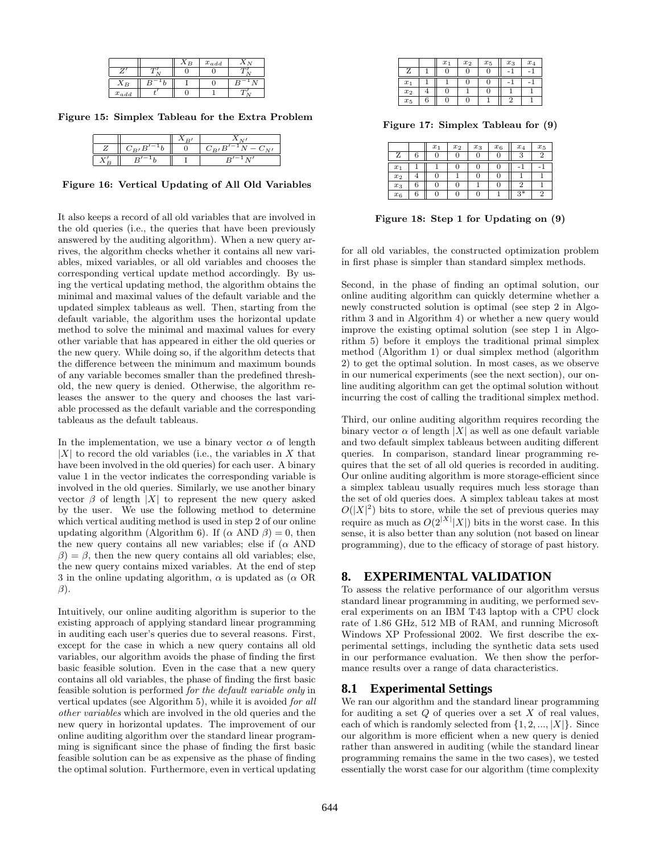|           | ΑB | $x_{add}$ |  |
|-----------|----|-----------|--|
|           |    |           |  |
|           |    |           |  |
| $x_{add}$ |    |           |  |

Figure 15: Simplex Tableau for the Extra Problem

| $C = F$ | $C_{B}$<br>$S'^{-1}N-C_{\Lambda\tau\tau}$ |
|---------|-------------------------------------------|
|         |                                           |

Figure 16: Vertical Updating of All Old Variables

It also keeps a record of all old variables that are involved in the old queries (i.e., the queries that have been previously answered by the auditing algorithm). When a new query arrives, the algorithm checks whether it contains all new variables, mixed variables, or all old variables and chooses the corresponding vertical update method accordingly. By using the vertical updating method, the algorithm obtains the minimal and maximal values of the default variable and the updated simplex tableaus as well. Then, starting from the default variable, the algorithm uses the horizontal update method to solve the minimal and maximal values for every other variable that has appeared in either the old queries or the new query. While doing so, if the algorithm detects that the difference between the minimum and maximum bounds of any variable becomes smaller than the predefined threshold, the new query is denied. Otherwise, the algorithm releases the answer to the query and chooses the last variable processed as the default variable and the corresponding tableaus as the default tableaus.

In the implementation, we use a binary vector  $\alpha$  of length  $|X|$  to record the old variables (i.e., the variables in X that have been involved in the old queries) for each user. A binary value 1 in the vector indicates the corresponding variable is involved in the old queries. Similarly, we use another binary vector  $\beta$  of length |X| to represent the new query asked by the user. We use the following method to determine which vertical auditing method is used in step 2 of our online updating algorithm (Algorithm 6). If  $(\alpha \text{ AND } \beta) = 0$ , then the new query contains all new variables; else if  $(\alpha$  AND  $\beta$ ) =  $\beta$ , then the new query contains all old variables; else, the new query contains mixed variables. At the end of step 3 in the online updating algorithm,  $\alpha$  is updated as  $(\alpha \text{ OR } )$  $\beta$ ).

Intuitively, our online auditing algorithm is superior to the existing approach of applying standard linear programming in auditing each user's queries due to several reasons. First, except for the case in which a new query contains all old variables, our algorithm avoids the phase of finding the first basic feasible solution. Even in the case that a new query contains all old variables, the phase of finding the first basic feasible solution is performed *for the default variable only* in vertical updates (see Algorithm 5), while it is avoided *for all other variables* which are involved in the old queries and the new query in horizontal updates. The improvement of our online auditing algorithm over the standard linear programming is significant since the phase of finding the first basic feasible solution can be as expensive as the phase of finding the optimal solution. Furthermore, even in vertical updating

|       |   | $x_1$ | $x_2$ | $x_5$ | $x_3$ | $x_4$ |
|-------|---|-------|-------|-------|-------|-------|
| Ž     |   |       |       | U     |       |       |
| $x_1$ |   |       |       | U     |       |       |
| $x_2$ |   |       |       | U     |       |       |
| $x_5$ | 6 |       |       |       |       |       |

Figure 17: Simplex Tableau for (9)

|       |   | $x_1$ | $x_2$ | $x_3$ | $x_6$ | $x_4$   | $x_5$          |
|-------|---|-------|-------|-------|-------|---------|----------------|
| Ζ     | 6 |       |       | U.    | U     | 9<br>¢. | 2              |
| $x_1$ |   |       |       | C     | 0     |         |                |
| $x_2$ | ± |       |       | t.    | U     |         |                |
| $x_3$ | 6 |       |       |       | 0     | ŋ       |                |
| $x_6$ | 6 |       |       | 0     |       | $3*$    | $\overline{2}$ |

Figure 18: Step 1 for Updating on (9)

for all old variables, the constructed optimization problem in first phase is simpler than standard simplex methods.

Second, in the phase of finding an optimal solution, our online auditing algorithm can quickly determine whether a newly constructed solution is optimal (see step 2 in Algorithm 3 and in Algorithm 4) or whether a new query would improve the existing optimal solution (see step 1 in Algorithm 5) before it employs the traditional primal simplex method (Algorithm 1) or dual simplex method (algorithm 2) to get the optimal solution. In most cases, as we observe in our numerical experiments (see the next section), our online auditing algorithm can get the optimal solution without incurring the cost of calling the traditional simplex method.

Third, our online auditing algorithm requires recording the binary vector  $\alpha$  of length |X| as well as one default variable and two default simplex tableaus between auditing different queries. In comparison, standard linear programming requires that the set of all old queries is recorded in auditing. Our online auditing algorithm is more storage-efficient since a simplex tableau usually requires much less storage than the set of old queries does. A simplex tableau takes at most  $O(|X|^2)$  bits to store, while the set of previous queries may require as much as  $O(2^{|X|}|X|)$  bits in the worst case. In this sense, it is also better than any solution (not based on linear programming), due to the efficacy of storage of past history.

## **8. EXPERIMENTAL VALIDATION**

To assess the relative performance of our algorithm versus standard linear programming in auditing, we performed several experiments on an IBM T43 laptop with a CPU clock rate of 1.86 GHz, 512 MB of RAM, and running Microsoft Windows XP Professional 2002. We first describe the experimental settings, including the synthetic data sets used in our performance evaluation. We then show the performance results over a range of data characteristics.

## **8.1 Experimental Settings**

We ran our algorithm and the standard linear programming for auditing a set  $Q$  of queries over a set  $X$  of real values, each of which is randomly selected from  $\{1, 2, ..., |X|\}$ . Since our algorithm is more efficient when a new query is denied rather than answered in auditing (while the standard linear programming remains the same in the two cases), we tested essentially the worst case for our algorithm (time complexity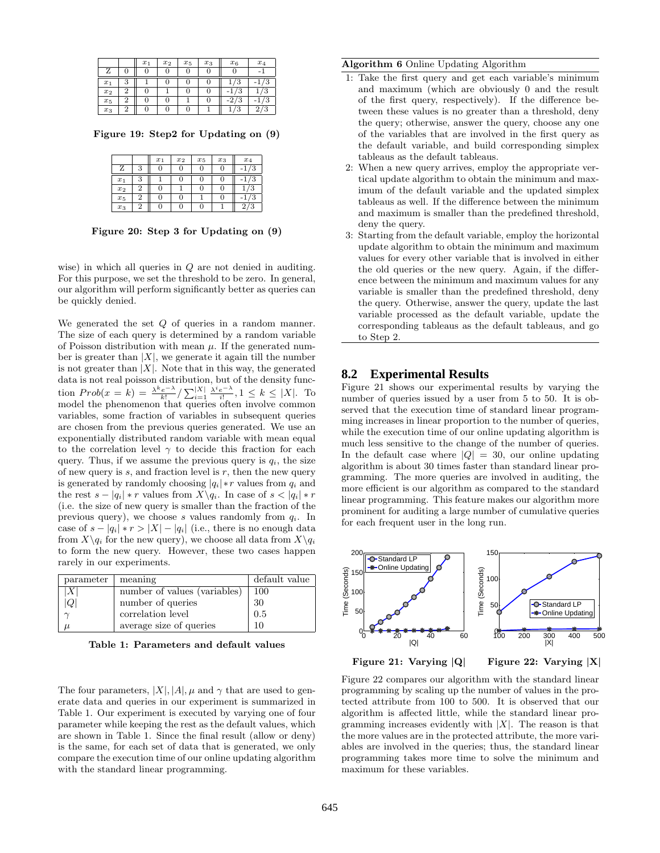|       |   | $x_1$ | $x_2$ | $x_5$ | $x_3$ | $x_6$                    | $x_4$       |
|-------|---|-------|-------|-------|-------|--------------------------|-------------|
|       |   |       |       |       |       |                          | -           |
| $x_1$ | 3 |       |       | U     |       | ×.                       |             |
| $x_2$ | ↶ |       |       |       |       | o<br>×.                  | o<br>s.     |
| $x_5$ | c |       |       |       |       | 2 <sub>l</sub><br>◠<br>3 | -<br>J      |
| $x_3$ | c |       |       | U     |       | J                        | €<br>o<br>€ |

Figure 19: Step2 for Updating on (9)

|       |   | $x_1$ | $x_2$ | $x_5$ | $x_3$ | $x_4$ |
|-------|---|-------|-------|-------|-------|-------|
| Z     | c |       |       |       |       |       |
| $x_1$ |   |       |       |       |       |       |
| $x_2$ |   |       |       |       |       |       |
| $x_5$ |   |       |       |       | U     |       |
| $x_3$ | 2 |       |       |       |       | ್     |

Figure 20: Step 3 for Updating on (9)

wise) in which all queries in Q are not denied in auditing. For this purpose, we set the threshold to be zero. In general, our algorithm will perform significantly better as queries can be quickly denied.

We generated the set  $Q$  of queries in a random manner. The size of each query is determined by a random variable of Poisson distribution with mean  $\mu$ . If the generated number is greater than  $|X|$ , we generate it again till the number is not greater than  $|X|$ . Note that in this way, the generated data is not real poisson distribution, but of the density function  $Prob(x = k) = \frac{\lambda^k e^{-\lambda}}{k!} / \sum_{i=1}^{|X|} \frac{\lambda^i e^{-\lambda}}{i!}$ ,  $1 \leq k \leq |X|$ . To model the phenomenon that queries often involve common variables, some fraction of variables in subsequent queries are chosen from the previous queries generated. We use an exponentially distributed random variable with mean equal to the correlation level  $\gamma$  to decide this fraction for each query. Thus, if we assume the previous query is  $q_i$ , the size of new query is  $s$ , and fraction level is  $r$ , then the new query is generated by randomly choosing  $|q_i| * r$  values from  $q_i$  and the rest  $s - |q_i| * r$  values from  $X \setminus q_i$ . In case of  $s < |q_i| * r$ (i.e. the size of new query is smaller than the fraction of the previous query), we choose s values randomly from  $q_i$ . In case of  $s - |q_i| * r > |X| - |q_i|$  (i.e., there is no enough data from  $X\setminus q_i$  for the new query), we choose all data from  $X\setminus q_i$ to form the new query. However, these two cases happen rarely in our experiments.

| parameter | meaning                      | default value |
|-----------|------------------------------|---------------|
| Χ         | number of values (variables) | 100           |
| Q         | number of queries            | 30            |
|           | correlation level            | 0.5           |
|           | average size of queries      | 10            |

Table 1: Parameters and default values

The four parameters,  $|X|, |A|, \mu$  and  $\gamma$  that are used to generate data and queries in our experiment is summarized in Table 1. Our experiment is executed by varying one of four parameter while keeping the rest as the default values, which are shown in Table 1. Since the final result (allow or deny) is the same, for each set of data that is generated, we only compare the execution time of our online updating algorithm with the standard linear programming.

#### Algorithm 6 Online Updating Algorithm

- 1: Take the first query and get each variable's minimum and maximum (which are obviously 0 and the result of the first query, respectively). If the difference between these values is no greater than a threshold, deny the query; otherwise, answer the query, choose any one of the variables that are involved in the first query as the default variable, and build corresponding simplex tableaus as the default tableaus.
- 2: When a new query arrives, employ the appropriate vertical update algorithm to obtain the minimum and maximum of the default variable and the updated simplex tableaus as well. If the difference between the minimum and maximum is smaller than the predefined threshold, deny the query.
- 3: Starting from the default variable, employ the horizontal update algorithm to obtain the minimum and maximum values for every other variable that is involved in either the old queries or the new query. Again, if the difference between the minimum and maximum values for any variable is smaller than the predefined threshold, deny the query. Otherwise, answer the query, update the last variable processed as the default variable, update the corresponding tableaus as the default tableaus, and go to Step 2.

#### **8.2 Experimental Results**

Figure 21 shows our experimental results by varying the number of queries issued by a user from 5 to 50. It is observed that the execution time of standard linear programming increases in linear proportion to the number of queries, while the execution time of our online updating algorithm is much less sensitive to the change of the number of queries. In the default case where  $|Q| = 30$ , our online updating algorithm is about 30 times faster than standard linear programming. The more queries are involved in auditing, the more efficient is our algorithm as compared to the standard linear programming. This feature makes our algorithm more prominent for auditing a large number of cumulative queries for each frequent user in the long run.



Figure 21: Varying |Q|

Figure 22: Varying |X|

Figure 22 compares our algorithm with the standard linear programming by scaling up the number of values in the protected attribute from 100 to 500. It is observed that our algorithm is affected little, while the standard linear programming increases evidently with  $|X|$ . The reason is that the more values are in the protected attribute, the more variables are involved in the queries; thus, the standard linear programming takes more time to solve the minimum and maximum for these variables.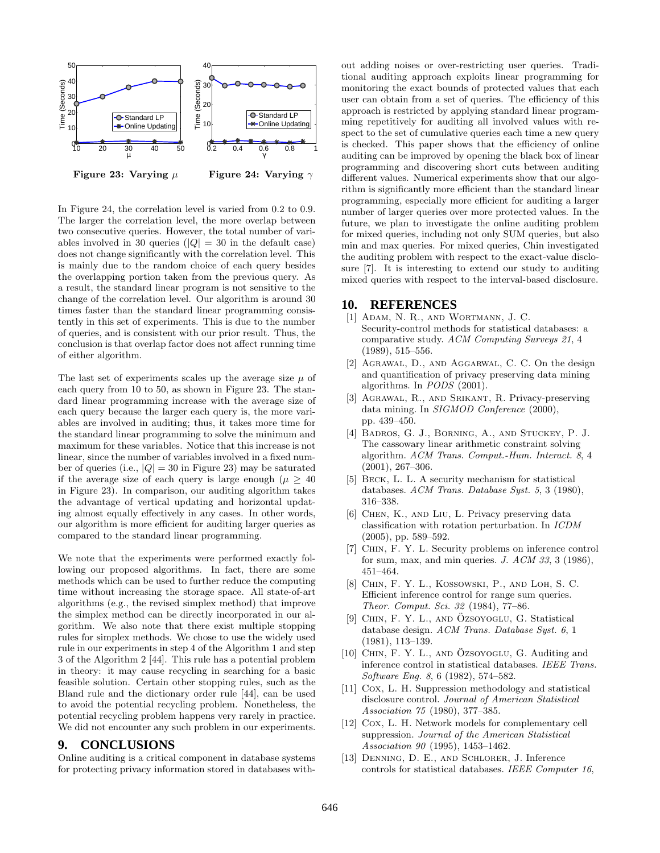

In Figure 24, the correlation level is varied from 0.2 to 0.9. The larger the correlation level, the more overlap between two consecutive queries. However, the total number of variables involved in 30 queries ( $|Q| = 30$  in the default case) does not change significantly with the correlation level. This is mainly due to the random choice of each query besides the overlapping portion taken from the previous query. As a result, the standard linear program is not sensitive to the change of the correlation level. Our algorithm is around 30 times faster than the standard linear programming consistently in this set of experiments. This is due to the number of queries, and is consistent with our prior result. Thus, the conclusion is that overlap factor does not affect running time of either algorithm.

The last set of experiments scales up the average size  $\mu$  of each query from 10 to 50, as shown in Figure 23. The standard linear programming increase with the average size of each query because the larger each query is, the more variables are involved in auditing; thus, it takes more time for the standard linear programming to solve the minimum and maximum for these variables. Notice that this increase is not linear, since the number of variables involved in a fixed number of queries (i.e.,  $|Q| = 30$  in Figure 23) may be saturated if the average size of each query is large enough ( $\mu \geq 40$ ) in Figure 23). In comparison, our auditing algorithm takes the advantage of vertical updating and horizontal updating almost equally effectively in any cases. In other words, our algorithm is more efficient for auditing larger queries as compared to the standard linear programming.

We note that the experiments were performed exactly following our proposed algorithms. In fact, there are some methods which can be used to further reduce the computing time without increasing the storage space. All state-of-art algorithms (e.g., the revised simplex method) that improve the simplex method can be directly incorporated in our algorithm. We also note that there exist multiple stopping rules for simplex methods. We chose to use the widely used rule in our experiments in step 4 of the Algorithm 1 and step 3 of the Algorithm 2 [44]. This rule has a potential problem in theory: it may cause recycling in searching for a basic feasible solution. Certain other stopping rules, such as the Bland rule and the dictionary order rule [44], can be used to avoid the potential recycling problem. Nonetheless, the potential recycling problem happens very rarely in practice. We did not encounter any such problem in our experiments.

### **9. CONCLUSIONS**

Online auditing is a critical component in database systems for protecting privacy information stored in databases without adding noises or over-restricting user queries. Traditional auditing approach exploits linear programming for monitoring the exact bounds of protected values that each user can obtain from a set of queries. The efficiency of this approach is restricted by applying standard linear programming repetitively for auditing all involved values with respect to the set of cumulative queries each time a new query is checked. This paper shows that the efficiency of online auditing can be improved by opening the black box of linear programming and discovering short cuts between auditing different values. Numerical experiments show that our algorithm is significantly more efficient than the standard linear programming, especially more efficient for auditing a larger number of larger queries over more protected values. In the future, we plan to investigate the online auditing problem for mixed queries, including not only SUM queries, but also min and max queries. For mixed queries, Chin investigated the auditing problem with respect to the exact-value disclosure [7]. It is interesting to extend our study to auditing mixed queries with respect to the interval-based disclosure.

#### **10. REFERENCES**

- [1] Adam, N. R., and Wortmann, J. C. Security-control methods for statistical databases: a comparative study. *ACM Computing Surveys 21*, 4 (1989), 515–556.
- [2] Agrawal, D., and Aggarwal, C. C. On the design and quantification of privacy preserving data mining algorithms. In *PODS* (2001).
- [3] Agrawal, R., and Srikant, R. Privacy-preserving data mining. In *SIGMOD Conference* (2000), pp. 439–450.
- [4] Badros, G. J., Borning, A., and Stuckey, P. J. The cassowary linear arithmetic constraint solving algorithm. *ACM Trans. Comput.-Hum. Interact. 8*, 4 (2001), 267–306.
- [5] BECK, L. L. A security mechanism for statistical databases. *ACM Trans. Database Syst. 5*, 3 (1980), 316–338.
- [6] Chen, K., and Liu, L. Privacy preserving data classification with rotation perturbation. In *ICDM* (2005), pp. 589–592.
- [7] Chin, F. Y. L. Security problems on inference control for sum, max, and min queries. *J. ACM 33*, 3 (1986), 451–464.
- [8] Chin, F. Y. L., Kossowski, P., and Loh, S. C. Efficient inference control for range sum queries. *Theor. Comput. Sci. 32* (1984), 77–86.
- [9] CHIN, F. Y. L., AND ÖZSOYOGLU, G. Statistical database design. *ACM Trans. Database Syst. 6*, 1 (1981), 113–139.
- $[10]$  CHIN, F. Y. L., AND ÖZSOYOGLU, G. Auditing and inference control in statistical databases. *IEEE Trans. Software Eng. 8*, 6 (1982), 574–582.
- [11] Cox, L. H. Suppression methodology and statistical disclosure control. *Journal of American Statistical Association 75* (1980), 377–385.
- [12] Cox, L. H. Network models for complementary cell suppression. *Journal of the American Statistical Association 90* (1995), 1453–1462.
- [13] Denning, D. E., and Schlorer, J. Inference controls for statistical databases. *IEEE Computer 16*,